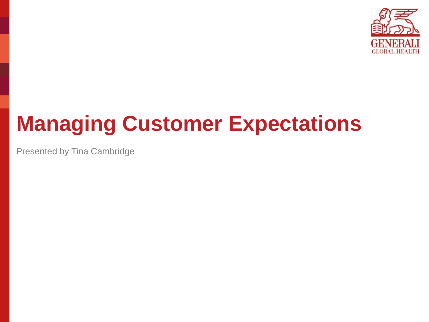

# **Managing Customer Expectations**

Presented by Tina Cambridge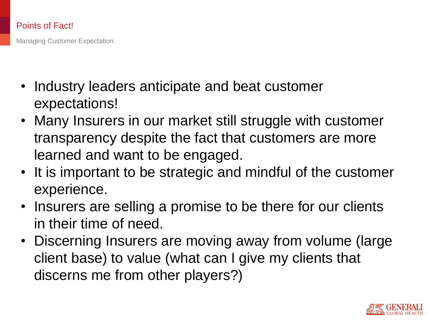## Points of Fact!

Managing Customer Expectation

- Industry leaders anticipate and beat customer expectations!
- Many Insurers in our market still struggle with customer transparency despite the fact that customers are more learned and want to be engaged.
- It is important to be strategic and mindful of the customer experience.
- Insurers are selling a promise to be there for our clients in their time of need.
- Discerning Insurers are moving away from volume (large client base) to value (what can I give my clients that discerns me from other players?)

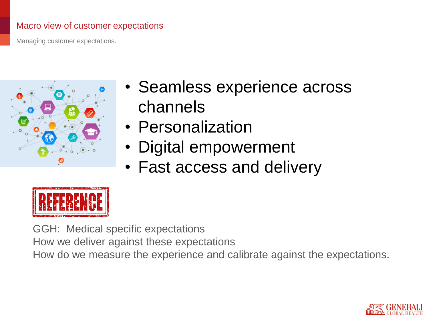## Macro view of customer expectations

Managing customer expectations.



- Seamless experience across channels
- Personalization
- Digital empowerment
- Fast access and delivery



GGH: Medical specific expectations How we deliver against these expectations How do we measure the experience and calibrate against the expectations.

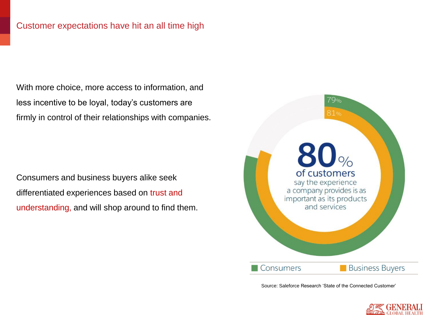With more choice, more access to information, and less incentive to be loyal, today's customers are firmly in control of their relationships with companies.

Consumers and business buyers alike seek differentiated experiences based on trust and understanding, and will shop around to find them.



Source: Saleforce Research 'State of the Connected Customer'

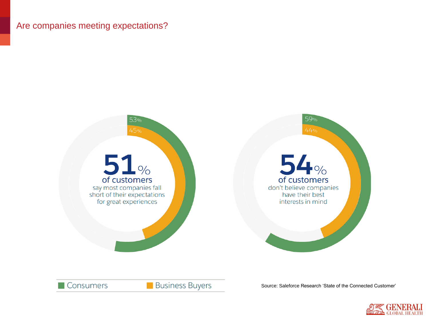## Are companies meeting expectations?



Source: Saleforce Research 'State of the Connected Customer'



**Business Buyers** 

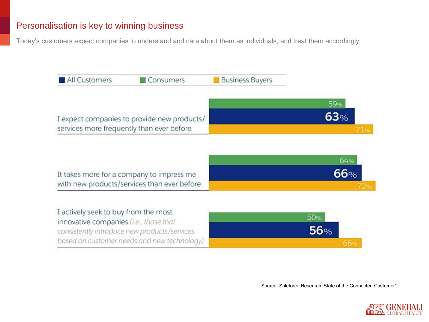## Personalisation is key to winning business

Today's customers expect companies to understand and care about them as individuals, and treat them accordingly.

| All Customers                                                                            | Consumers                                                                                   | <b>Business Buyers</b> |            |
|------------------------------------------------------------------------------------------|---------------------------------------------------------------------------------------------|------------------------|------------|
|                                                                                          |                                                                                             |                        | 59%        |
| I expect companies to provide new products/<br>services more frequently than ever before |                                                                                             |                        | 63%<br>71% |
|                                                                                          |                                                                                             |                        | 64%        |
| It takes more for a company to impress me<br>with new products/services than ever before |                                                                                             |                        | 66%        |
|                                                                                          |                                                                                             |                        |            |
| I actively seek to buy from the most<br>innovative companies (i.e., those that           |                                                                                             |                        | 50%<br>56% |
|                                                                                          | consistently introduce new products/services<br>based on customer needs and new technology) |                        |            |

Source: Saleforce Research 'State of the Connected Customer'

66%

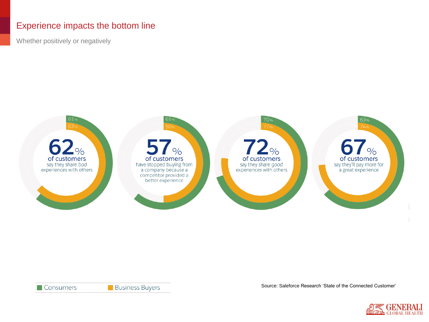## Experience impacts the bottom line

Whether positively or negatively



**Business Buyers** 

Source: Saleforce Research 'State of the Connected Customer'

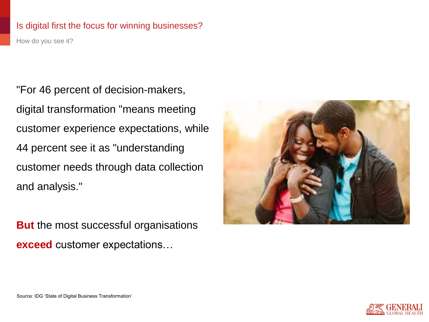### Is digital first the focus for winning businesses?

How do you see it?

"For 46 percent of decision-makers, digital transformation "means meeting customer experience expectations, while 44 percent see it as "understanding customer needs through data collection and analysis."

**But** the most successful organisations **exceed** customer expectations…



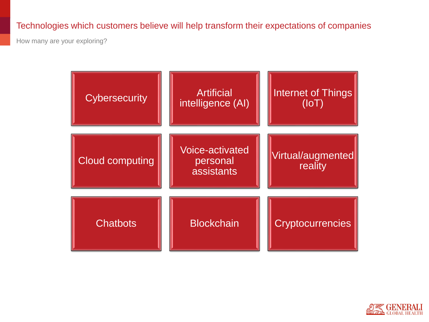## Technologies which customers believe will help transform their expectations of companies

How many are your exploring?

| <b>Cybersecurity</b>   | <b>Artificial</b><br>intelligence (AI)    | <b>Internet of Things</b><br>(IoT) |
|------------------------|-------------------------------------------|------------------------------------|
| <b>Cloud computing</b> | Voice-activated<br>personal<br>assistants | Virtual/augmented<br>reality       |
| <b>Chatbots</b>        | <b>Blockchain</b>                         | <b>Cryptocurrencies</b>            |

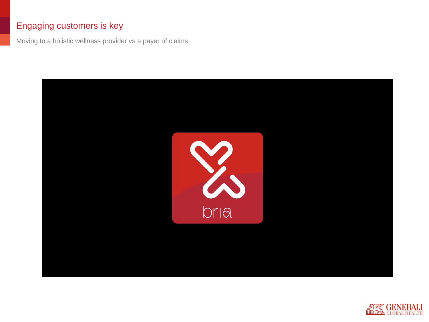## Engaging customers is key

Moving to a holistic wellness provider vs a payer of claims



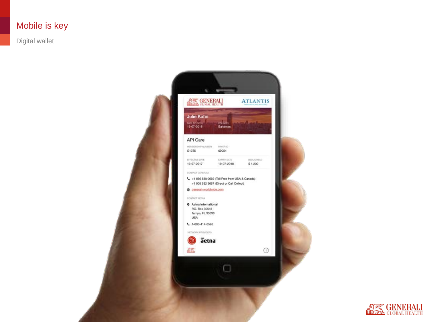## Mobile is key

Digital wallet



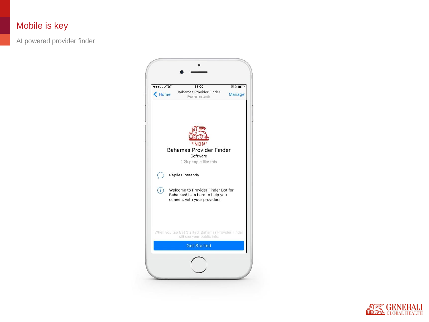## Mobile is key

AI powered provider finder



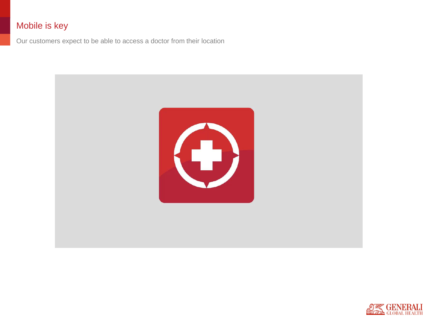## Mobile is key

Our customers expect to be able to access a doctor from their location



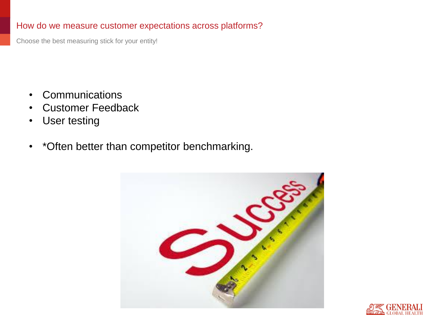## How do we measure customer expectations across platforms?

Choose the best measuring stick for your entity!

- Communications
- Customer Feedback
- User testing
- \*Often better than competitor benchmarking.



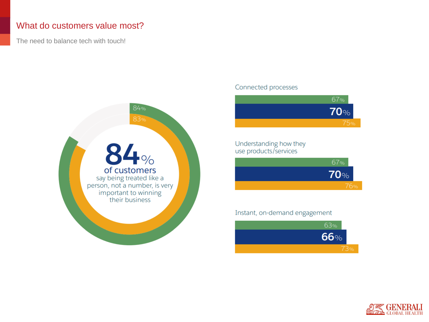## What do customers value most?

The need to balance tech with touch!



#### Connected processes



#### Understanding how they use products/services



#### Instant, on-demand engagement



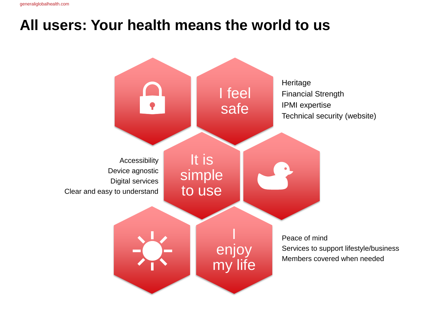## **All users: Your health means the world to us**

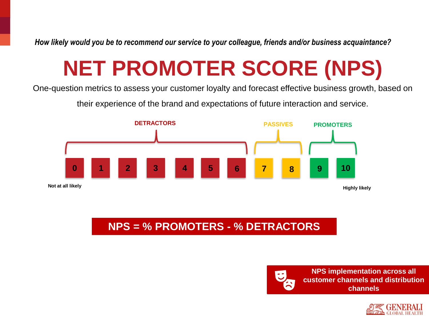*How likely would you be to recommend our service to your colleague, friends and/or business acquaintance?*

# **NET PROMOTER SCORE (NPS)**

One-question metrics to assess your customer loyalty and forecast effective business growth, based on

their experience of the brand and expectations of future interaction and service.



## **NPS = % PROMOTERS - % DETRACTORS**



**NPS implementation across all customer channels and distribution channels**

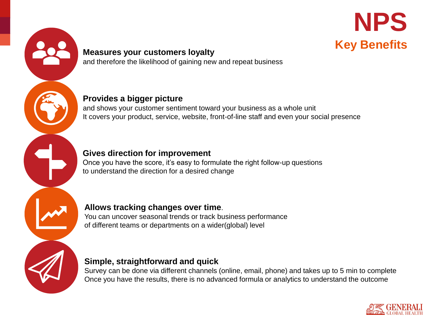



#### **Measures your customers loyalty**  and therefore the likelihood of gaining new and repeat business

**Provides a bigger picture**

and shows your customer sentiment toward your business as a whole unit It covers your product, service, website, front-of-line staff and even your social presence

## **Gives direction for improvement**

Once you have the score, it's easy to formulate the right follow-up questions to understand the direction for a desired change

### **Allows tracking changes over time**.

You can uncover seasonal trends or track business performance of different teams or departments on a wider(global) level

## **Simple, straightforward and quick**

Survey can be done via different channels (online, email, phone) and takes up to 5 min to complete Once you have the results, there is no advanced formula or analytics to understand the outcome

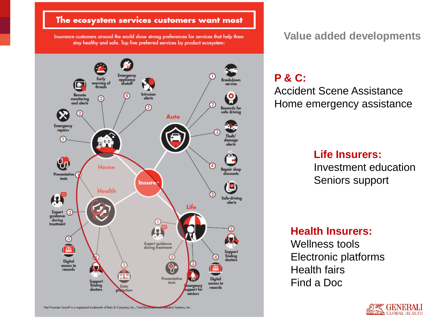#### The ecosystem services customers want most

Insurance customers around the world show strong preferences for services that help them stay healthy and safe. Top five preferred services by product ecosystem:



**Value added developments**

## **P & C:**

Accident Scene Assistance Home emergency assistance

## **Life Insurers:**

Investment education Seniors support

## **Health Insurers:**

Wellness tools Electronic platforms Health fairs Find a Doc

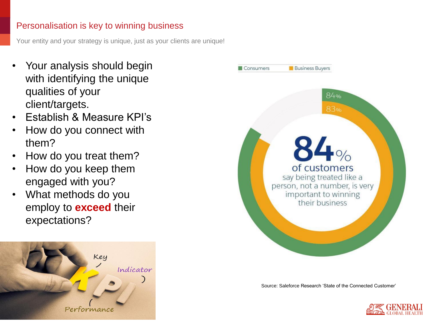## Personalisation is key to winning business

Your entity and your strategy is unique, just as your clients are unique!

- Your analysis should begin with identifying the unique qualities of your client/targets.
- Establish & Measure KPI's
- How do you connect with them?
- How do you treat them?
- How do you keep them engaged with you?
- What methods do you employ to **exceed** their expectations?





Source: Saleforce Research 'State of the Connected Customer'